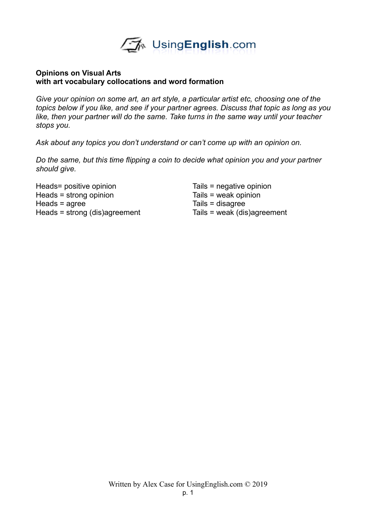

## **Opinions on Visual Arts with art vocabulary collocations and word formation**

*Give your opinion on some art, an art style, a particular artist etc, choosing one of the topics below if you like, and see if your partner agrees. Discuss that topic as long as you like, then your partner will do the same. Take turns in the same way until your teacher stops you.*

*Ask about any topics you don't understand or can't come up with an opinion on.* 

*Do the same, but this time flipping a coin to decide what opinion you and your partner should give.* 

Heads= positive opinion Tails = negative opinion Heads = strong opinion Tails = weak opinion Heads = agree Tails = disagree Heads = strong (dis)agreement Tails = weak (dis)agreement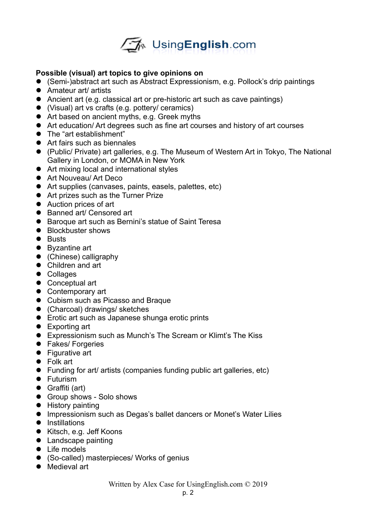

# **Possible (visual) art topics to give opinions on**

- (Semi-)abstract art such as Abstract Expressionism, e.g. Pollock's drip paintings
- Amateur art/ artists
- Ancient art (e.g. classical art or pre-historic art such as cave paintings)
- (Visual) art vs crafts (e.g. pottery/ ceramics)
- Art based on ancient myths, e.g. Greek myths
- Art education/ Art degrees such as fine art courses and history of art courses
- The "art establishment"
- Art fairs such as biennales
- (Public/ Private) art galleries, e.g. The Museum of Western Art in Tokyo, The National Gallery in London, or MOMA in New York
- Art mixing local and international styles
- **•** Art Nouveau/ Art Deco
- Art supplies (canvases, paints, easels, palettes, etc)
- Art prizes such as the Turner Prize
- Auction prices of art
- Banned art/ Censored art
- Baroque art such as Bernini's statue of Saint Teresa
- Blockbuster shows
- **•** Busts
- Byzantine art
- (Chinese) calligraphy
- Children and art
- Collages
- Conceptual art
- Contemporary art
- Cubism such as Picasso and Braque
- (Charcoal) drawings/ sketches
- **•** Erotic art such as Japanese shunga erotic prints
- Exporting art
- Expressionism such as Munch's The Scream or Klimt's The Kiss
- **•** Fakes/ Forgeries
- **•** Figurative art
- Folk art
- Funding for art/ artists (companies funding public art galleries, etc)
- **•** Futurism
- Graffiti (art)
- **Group shows Solo shows**
- **•** History painting
- **Impressionism such as Degas's ballet dancers or Monet's Water Lilies**
- $\bullet$  Instillations
- Kitsch, e.g. Jeff Koons
- Landscape painting
- Life models
- (So-called) masterpieces/ Works of genius
- Medieval art

Written by Alex Case for UsingEnglish.com © 2019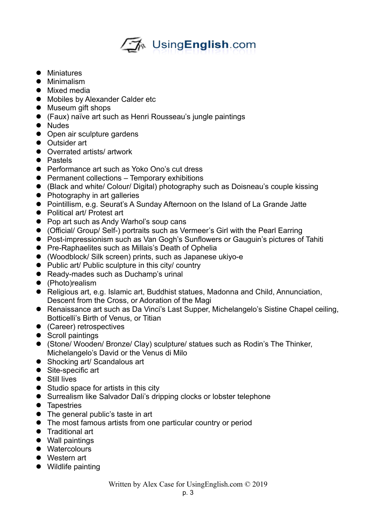# ê Using**English**.com

- Miniatures
- **•** Minimalism
- Mixed media
- Mobiles by Alexander Calder etc
- Museum gift shops
- (Faux) naïve art such as Henri Rousseau's jungle paintings
- Nudes
- Open air sculpture gardens
- **Outsider art**
- Overrated artists/ artwork
- Pastels
- **•** Performance art such as Yoko Ono's cut dress
- Permanent collections Temporary exhibitions
- (Black and white/ Colour/ Digital) photography such as Doisneau's couple kissing
- Photography in art galleries
- Pointillism, e.g. Seurat's A Sunday Afternoon on the Island of La Grande Jatte
- Political art/ Protest art
- Pop art such as Andy Warhol's soup cans
- (Official/ Group/ Self-) portraits such as Vermeer's Girl with the Pearl Earring
- Post-impressionism such as Van Gogh's Sunflowers or Gauguin's pictures of Tahiti
- **•** Pre-Raphaelites such as Millais's Death of Ophelia
- (Woodblock/ Silk screen) prints, such as Japanese ukiyo-e
- Public art/ Public sculpture in this city/ country
- Ready-mades such as Duchamp's urinal
- (Photo)realism
- Religious art, e.g. Islamic art, Buddhist statues, Madonna and Child, Annunciation, Descent from the Cross, or Adoration of the Magi
- Renaissance art such as Da Vinci's Last Supper, Michelangelo's Sistine Chapel ceiling. Botticelli's Birth of Venus, or Titian
- (Career) retrospectives
- Scroll paintings
- (Stone/ Wooden/ Bronze/ Clay) sculpture/ statues such as Rodin's The Thinker, Michelangelo's David or the Venus di Milo
- Shocking art/ Scandalous art
- Site-specific art
- $\bullet$  Still lives
- Studio space for artists in this city
- Surrealism like Salvador Dali's dripping clocks or lobster telephone
- **•** Tapestries
- The general public's taste in art
- The most famous artists from one particular country or period
- **•** Traditional art
- Wall paintings
- Watercolours
- Western art
- Wildlife painting

Written by Alex Case for UsingEnglish.com © 2019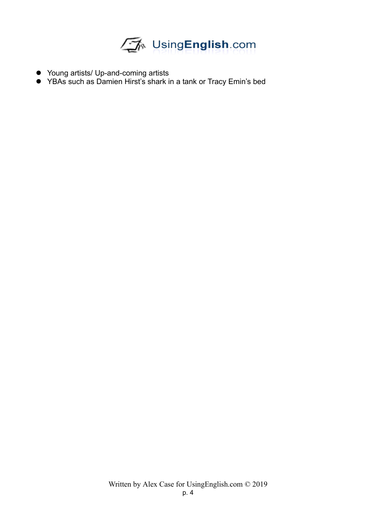

- Young artists/ Up-and-coming artists
- YBAs such as Damien Hirst's shark in a tank or Tracy Emin's bed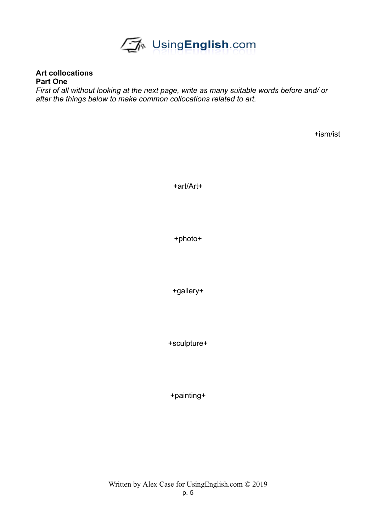

**Art collocations Part One**

*First of all without looking at the next page, write as many suitable words before and/ or after the things below to make common collocations related to art.*

+ism/ist

+art/Art+

+photo+

+gallery+

+sculpture+

+painting+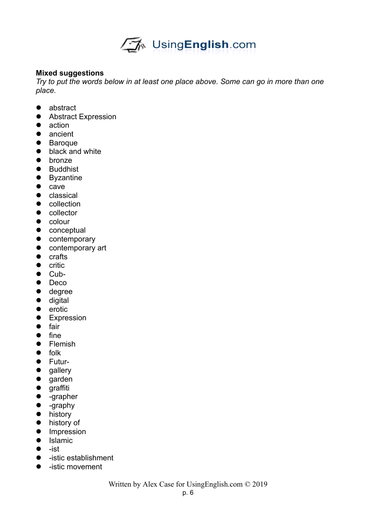

## **Mixed suggestions**

*Try to put the words below in at least one place above. Some can go in more than one place.*

- abstract
- **•** Abstract Expression
- action
- ancient
- Baroque
- black and white
- bronze
- **•** Buddhist
- Byzantine
- $\bullet$  cave
- **•** classical
- collection
- collector
- $\bullet$  colour
- **•** conceptual
- $\bullet$  contemporary
- **•** contemporary art
- crafts
- $\bullet$  critic
- $\bullet$  Cub-
- Deco
- degree
- $\bullet$  digital
- $\bullet$  erotic
- **•** Expression
- $\bullet$  fair
- $\bullet$  fine
- **•** Flemish
- folk
- **•** Futur-
- gallery
- garden
- **•** graffiti
- -grapher
- -graphy
- **•** history
- $\bullet$  history of
- **•** Impression
- **•** Islamic
- $\bullet$  -ist
- -istic establishment
- -istic movement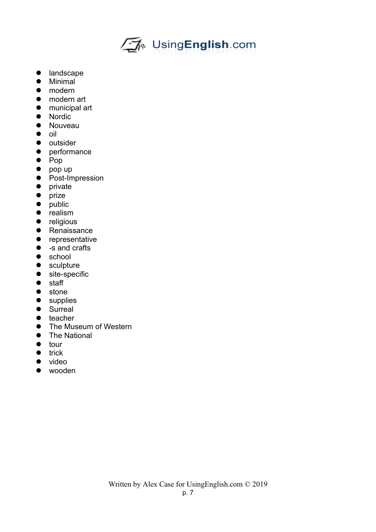

- landscape
- $\bullet$  Minimal
- modern
- modern art
- municipal art
- Nordic
- Nouveau
- $\bullet$  oil
- outsider
- performance
- $\bullet$  Pop
- $\bullet$  pop up
- Post-Impression
- private
- prize
- public
- **•** realism
- **•** religious
- **•** Renaissance
- **•** representative
- -s and crafts
- school
- sculpture
- site-specific
- staff
- stone
- supplies
- Surreal
- $\bullet$  teacher
- **•** The Museum of Western
- The National
- $\bullet$  tour
- $\bullet$  trick
- video
- wooden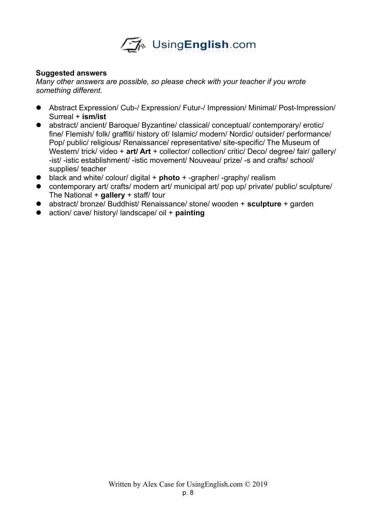

## **Suggested answers**

*Many other answers are possible, so please check with your teacher if you wrote something different.*

- Abstract Expression/ Cub-/ Expression/ Futur-/ Impression/ Minimal/ Post-Impression/ Surreal + **ism/ist**
- abstract/ ancient/ Baroque/ Byzantine/ classical/ conceptual/ contemporary/ erotic/ fine/ Flemish/ folk/ graffiti/ history of/ Islamic/ modern/ Nordic/ outsider/ performance/ Pop/ public/ religious/ Renaissance/ representative/ site-specific/ The Museum of Western/ trick/ video + art/ Art + collector/ collection/ critic/ Deco/ degree/ fair/ gallery/ -ist/ -istic establishment/ -istic movement/ Nouveau/ prize/ -s and crafts/ school/ supplies/ teacher
- black and white/ colour/ digital + **photo** + -grapher/ -graphy/ realism
- contemporary art/ crafts/ modern art/ municipal art/ pop up/ private/ public/ sculpture/ The National + **gallery** + staff/ tour
- abstract/ bronze/ Buddhist/ Renaissance/ stone/ wooden + **sculpture** + garden
- action/ cave/ history/ landscape/ oil + **painting**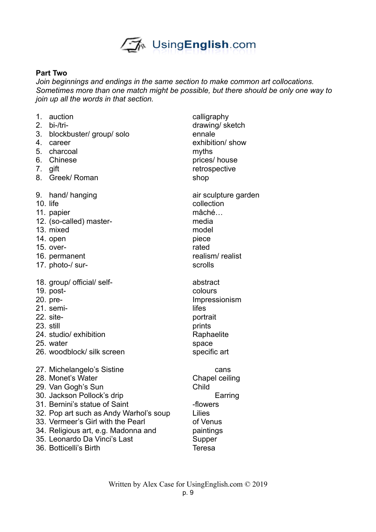

## **Part Two**

*Join beginnings and endings in the same section to make common art collocations. Sometimes more than one match might be possible, but there should be only one way to join up all the words in that section.* 

| 4. | 1. auction<br>2. bi-/tri-<br>3. blockbuster/group/solo<br>career<br>5. charcoal<br>6. Chinese<br>7. gift<br>8. Greek/ Roman                                                                                                                                                                | calligraphy<br>drawing/sk<br>ennale<br>exhibition/ s<br>myths<br>prices/ hous<br>retrospectiv<br>shop    |
|----|--------------------------------------------------------------------------------------------------------------------------------------------------------------------------------------------------------------------------------------------------------------------------------------------|----------------------------------------------------------------------------------------------------------|
|    | 9. hand/hanging<br>$10.$ life<br>11. papier<br>12. (so-called) master-<br>13. mixed<br>14. open<br>15. over-<br>16. permanent<br>17. photo-/ sur-                                                                                                                                          | air sculptur<br>collection<br>mâché<br>media<br>model<br>piece<br>rated<br>realism/rea<br>scrolls        |
|    | 18. group/ official/ self-<br>$19.$ post-<br>20. pre-<br>21. semi-<br>22. site-<br>23. still<br>24. studio/exhibition<br>25. water<br>26. woodblock/ silk screen                                                                                                                           | abstract<br>colours<br>Impressioni<br>lifes<br>portrait<br>prints<br>Raphaelite<br>space<br>specific art |
|    | 27. Michelangelo's Sistine<br>28. Monet's Water<br>29. Van Gogh's Sun<br>30. Jackson Pollock's drip<br>31. Bernini's statue of Saint<br>32. Pop art such as Andy Warhol's soup<br>33. Vermeer's Girl with the Pearl<br>34. Religious art, e.g. Madonna and<br>35. Leonardo Da Vinci's Last | cans<br>Chapel ceil<br>Child<br>Earri<br>-flowers<br>Lilies<br>of Venus<br>paintings<br>Supper           |

36. Botticelli's Birth Teresa

calligraphy drawing/ sketch ennale exhibition/ show myths prices/ house retrospective air sculpture garden collection mâché… model realism/realist scrolls abstract colours **Impressionism** portrait Raphaelite space specific art Chapel ceiling **Earring** -flowers

paintings Supper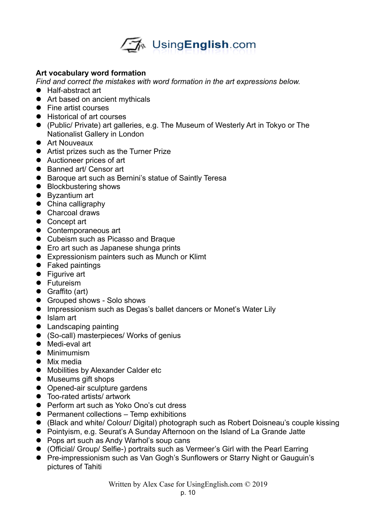

# **Art vocabulary word formation**

*Find and correct the mistakes with word formation in the art expressions below.* 

- Half-abstract art
- Art based on ancient mythicals
- Fine artist courses
- Historical of art courses
- (Public/ Private) art galleries, e.g. The Museum of Westerly Art in Tokyo or The Nationalist Gallery in London
- **•** Art Nouveaux
- Artist prizes such as the Turner Prize
- Auctioneer prices of art
- Banned art/ Censor art
- Baroque art such as Bernini's statue of Saintly Teresa
- Blockbustering shows
- Byzantium art
- China calligraphy
- Charcoal draws
- Concept art
- Contemporaneous art
- Cubeism such as Picasso and Braque
- **•** Ero art such as Japanese shunga prints
- Expressionism painters such as Munch or Klimt
- Faked paintings
- Figurive art
- **•** Futureism
- Graffito (art)
- Grouped shows Solo shows
- **Impressionism such as Degas's ballet dancers or Monet's Water Lily**
- Islam art
- Landscaping painting
- (So-call) masterpieces/ Works of genius
- $\bullet$  Medi-eval art
- **•** Minimumism
- Mix media
- **Mobilities by Alexander Calder etc**
- Museums gift shops
- Opened-air sculpture gardens
- Too-rated artists/ artwork
- Perform art such as Yoko Ono's cut dress
- **•** Permanent collections Temp exhibitions
- (Black and white/ Colour/ Digital) photograph such as Robert Doisneau's couple kissing
- Pointyism, e.g. Seurat's A Sunday Afternoon on the Island of La Grande Jatte
- Pops art such as Andy Warhol's soup cans
- (Official/ Group/ Selfie-) portraits such as Vermeer's Girl with the Pearl Earring
- **Pre-impressionism such as Van Gogh's Sunflowers or Starry Night or Gauguin's** pictures of Tahiti

Written by Alex Case for UsingEnglish.com © 2019